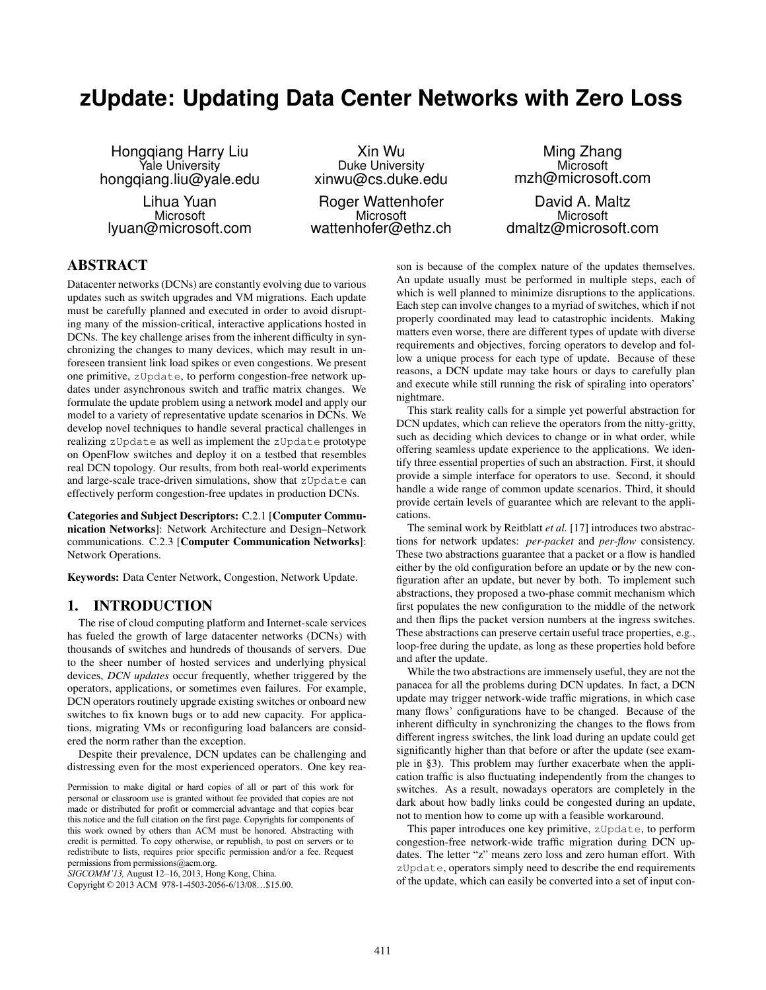# **zUpdate: Updating Data Center Networks with Zero Loss**

Hongqiang Harry Liu Yale University hongqiang.liu@yale.edu

Lihua Yuan Microsoft lyuan@microsoft.com

Xin Wu Duke University xinwu@cs.duke.edu

Roger Wattenhofer Microsoft wattenhofer@ethz.ch

Ming Zhang **Microsoft** mzh@microsoft.com

David A. Maltz Microsoft dmaltz@microsoft.com

# **ABSTRACT**

Datacenter networks (DCNs) are constantly evolving due to various updates such as switch upgrades and VM migrations. Each update must be carefully planned and executed in order to avoid disrupting many of the mission-critical, interactive applications hosted in DCNs. The key challenge arises from the inherent difficulty in synchronizing the changes to many devices, which may result in unforeseen transient link load spikes or even congestions. We present one primitive, zUpdate, to perform congestion-free network updates under asynchronous switch and traffic matrix changes. We formulate the update problem using a network model and apply our model to a variety of representative update scenarios in DCNs. We develop novel techniques to handle several practical challenges in realizing zUpdate as well as implement the zUpdate prototype on OpenFlow switches and deploy it on a testbed that resembles real DCN topology. Our results, from both real-world experiments and large-scale trace-driven simulations, show that zUpdate can effectively perform congestion-free updates in production DCNs.

**Categories and Subject Descriptors:** C.2.1 [**Computer Communication Networks**]: Network Architecture and Design–Network communications. C.2.3 [**Computer Communication Networks**]: Network Operations.

**Keywords:** Data Center Network, Congestion, Network Update.

## **1. INTRODUCTION**

The rise of cloud computing platform and Internet-scale services has fueled the growth of large datacenter networks (DCNs) with thousands of switches and hundreds of thousands of servers. Due to the sheer number of hosted services and underlying physical devices, *DCN updates* occur frequently, whether triggered by the operators, applications, or sometimes even failures. For example, DCN operators routinely upgrade existing switches or onboard new switches to fix known bugs or to add new capacity. For applications, migrating VMs or reconfiguring load balancers are considered the norm rather than the exception.

Despite their prevalence, DCN updates can be challenging and distressing even for the most experienced operators. One key rea-

*SIGCOMM'13,* August 12–16, 2013, Hong Kong, China.

Copyright © 2013 ACM 978-1-4503-2056-6/13/08…\$15.00.

son is because of the complex nature of the updates themselves. An update usually must be performed in multiple steps, each of which is well planned to minimize disruptions to the applications. Each step can involve changes to a myriad of switches, which if not properly coordinated may lead to catastrophic incidents. Making matters even worse, there are different types of update with diverse requirements and objectives, forcing operators to develop and follow a unique process for each type of update. Because of these reasons, a DCN update may take hours or days to carefully plan and execute while still running the risk of spiraling into operators' nightmare.

This stark reality calls for a simple yet powerful abstraction for DCN updates, which can relieve the operators from the nitty-gritty, such as deciding which devices to change or in what order, while offering seamless update experience to the applications. We identify three essential properties of such an abstraction. First, it should provide a simple interface for operators to use. Second, it should handle a wide range of common update scenarios. Third, it should provide certain levels of guarantee which are relevant to the applications.

The seminal work by Reitblatt *et al.* [17] introduces two abstractions for network updates: *per-packet* and *per-flow* consistency. These two abstractions guarantee that a packet or a flow is handled either by the old configuration before an update or by the new configuration after an update, but never by both. To implement such abstractions, they proposed a two-phase commit mechanism which first populates the new configuration to the middle of the network and then flips the packet version numbers at the ingress switches. These abstractions can preserve certain useful trace properties, e.g., loop-free during the update, as long as these properties hold before and after the update.

While the two abstractions are immensely useful, they are not the panacea for all the problems during DCN updates. In fact, a DCN update may trigger network-wide traffic migrations, in which case many flows' configurations have to be changed. Because of the inherent difficulty in synchronizing the changes to the flows from different ingress switches, the link load during an update could get significantly higher than that before or after the update (see example in §3). This problem may further exacerbate when the application traffic is also fluctuating independently from the changes to switches. As a result, nowadays operators are completely in the dark about how badly links could be congested during an update, not to mention how to come up with a feasible workaround.

This paper introduces one key primitive, zUpdate, to perform congestion-free network-wide traffic migration during DCN updates. The letter "z" means zero loss and zero human effort. With zUpdate, operators simply need to describe the end requirements of the update, which can easily be converted into a set of input con-

Permission to make digital or hard copies of all or part of this work for personal or classroom use is granted without fee provided that copies are not made or distributed for profit or commercial advantage and that copies bear this notice and the full citation on the first page. Copyrights for components of this work owned by others than ACM must be honored. Abstracting with credit is permitted. To copy otherwise, or republish, to post on servers or to redistribute to lists, requires prior specific permission and/or a fee. Request permissions from permissions@acm.org.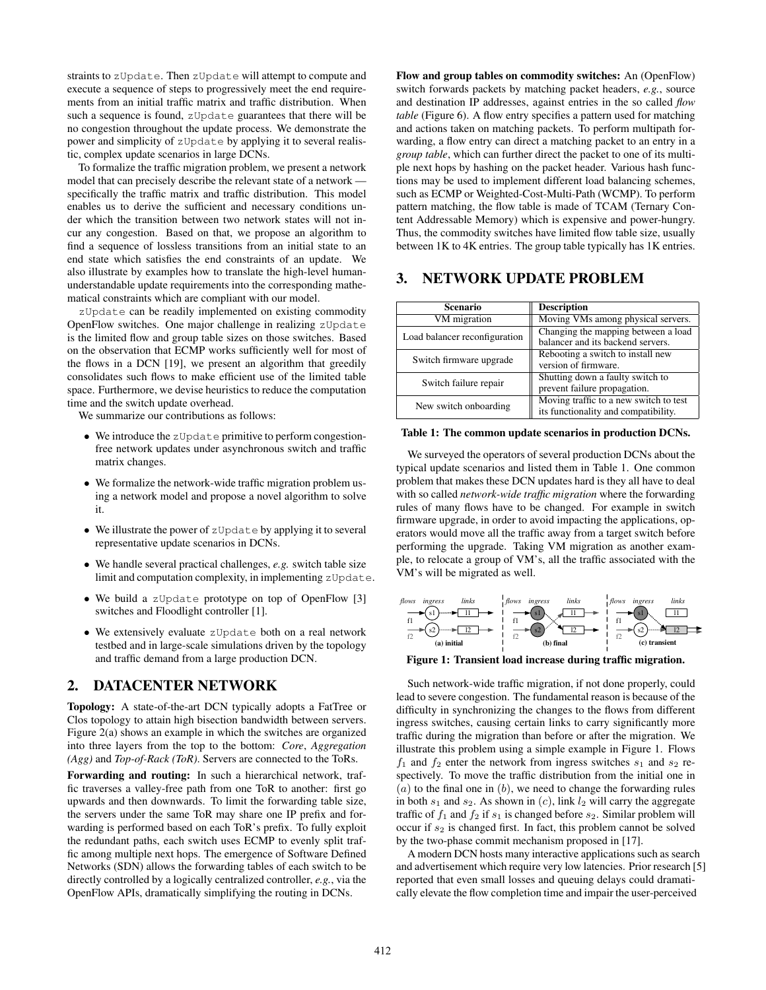straints to zUpdate. Then zUpdate will attempt to compute and execute a sequence of steps to progressively meet the end requirements from an initial traffic matrix and traffic distribution. When such a sequence is found, zUpdate guarantees that there will be no congestion throughout the update process. We demonstrate the power and simplicity of zUpdate by applying it to several realistic, complex update scenarios in large DCNs.

To formalize the traffic migration problem, we present a network model that can precisely describe the relevant state of a network specifically the traffic matrix and traffic distribution. This model enables us to derive the sufficient and necessary conditions under which the transition between two network states will not incur any congestion. Based on that, we propose an algorithm to find a sequence of lossless transitions from an initial state to an end state which satisfies the end constraints of an update. We also illustrate by examples how to translate the high-level humanunderstandable update requirements into the corresponding mathematical constraints which are compliant with our model.

zUpdate can be readily implemented on existing commodity OpenFlow switches. One major challenge in realizing zUpdate is the limited flow and group table sizes on those switches. Based on the observation that ECMP works sufficiently well for most of the flows in a DCN [19], we present an algorithm that greedily consolidates such flows to make efficient use of the limited table space. Furthermore, we devise heuristics to reduce the computation time and the switch update overhead.

We summarize our contributions as follows:

- We introduce the zUpdate primitive to perform congestionfree network updates under asynchronous switch and traffic matrix changes.
- We formalize the network-wide traffic migration problem using a network model and propose a novel algorithm to solve it.
- We illustrate the power of zUpdate by applying it to several representative update scenarios in DCNs.
- We handle several practical challenges, *e.g.* switch table size limit and computation complexity, in implementing zUpdate.
- We build a zUpdate prototype on top of OpenFlow [3] switches and Floodlight controller [1].
- We extensively evaluate zUpdate both on a real network testbed and in large-scale simulations driven by the topology and traffic demand from a large production DCN.

## **2. DATACENTER NETWORK**

**Topology:** A state-of-the-art DCN typically adopts a FatTree or Clos topology to attain high bisection bandwidth between servers. Figure 2(a) shows an example in which the switches are organized into three layers from the top to the bottom: *Core*, *Aggregation (Agg)* and *Top-of-Rack (ToR)*. Servers are connected to the ToRs.

**Forwarding and routing:** In such a hierarchical network, traffic traverses a valley-free path from one ToR to another: first go upwards and then downwards. To limit the forwarding table size, the servers under the same ToR may share one IP prefix and forwarding is performed based on each ToR's prefix. To fully exploit the redundant paths, each switch uses ECMP to evenly split traffic among multiple next hops. The emergence of Software Defined Networks (SDN) allows the forwarding tables of each switch to be directly controlled by a logically centralized controller, *e.g.*, via the OpenFlow APIs, dramatically simplifying the routing in DCNs.

**Flow and group tables on commodity switches:** An (OpenFlow) switch forwards packets by matching packet headers, *e.g.*, source and destination IP addresses, against entries in the so called *flow table* (Figure 6). A flow entry specifies a pattern used for matching and actions taken on matching packets. To perform multipath forwarding, a flow entry can direct a matching packet to an entry in a *group table*, which can further direct the packet to one of its multiple next hops by hashing on the packet header. Various hash functions may be used to implement different load balancing schemes, such as ECMP or Weighted-Cost-Multi-Path (WCMP). To perform pattern matching, the flow table is made of TCAM (Ternary Content Addressable Memory) which is expensive and power-hungry. Thus, the commodity switches have limited flow table size, usually between 1K to 4K entries. The group table typically has 1K entries.

# **3. NETWORK UPDATE PROBLEM**

| Scenario                      | <b>Description</b>                     |  |  |  |
|-------------------------------|----------------------------------------|--|--|--|
| VM migration                  | Moving VMs among physical servers.     |  |  |  |
| Load balancer reconfiguration | Changing the mapping between a load    |  |  |  |
|                               | balancer and its backend servers.      |  |  |  |
| Switch firmware upgrade       | Rebooting a switch to install new      |  |  |  |
|                               | version of firmware.                   |  |  |  |
| Switch failure repair         | Shutting down a faulty switch to       |  |  |  |
|                               | prevent failure propagation.           |  |  |  |
| New switch onboarding         | Moving traffic to a new switch to test |  |  |  |
|                               | its functionality and compatibility.   |  |  |  |
|                               |                                        |  |  |  |

**Table 1: The common update scenarios in production DCNs.**

We surveyed the operators of several production DCNs about the typical update scenarios and listed them in Table 1. One common problem that makes these DCN updates hard is they all have to deal with so called *network-wide traffic migration* where the forwarding rules of many flows have to be changed. For example in switch firmware upgrade, in order to avoid impacting the applications, operators would move all the traffic away from a target switch before performing the upgrade. Taking VM migration as another example, to relocate a group of VM's, all the traffic associated with the VM's will be migrated as well.



**Figure 1: Transient load increase during traffic migration.**

Such network-wide traffic migration, if not done properly, could lead to severe congestion. The fundamental reason is because of the difficulty in synchronizing the changes to the flows from different ingress switches, causing certain links to carry significantly more traffic during the migration than before or after the migration. We illustrate this problem using a simple example in Figure 1. Flows  $f_1$  and  $f_2$  enter the network from ingress switches  $s_1$  and  $s_2$  respectively. To move the traffic distribution from the initial one in  $(a)$  to the final one in  $(b)$ , we need to change the forwarding rules in both  $s_1$  and  $s_2$ . As shown in (c), link  $l_2$  will carry the aggregate traffic of  $f_1$  and  $f_2$  if  $s_1$  is changed before  $s_2$ . Similar problem will occur if  $s_2$  is changed first. In fact, this problem cannot be solved by the two-phase commit mechanism proposed in [17].

A modern DCN hosts many interactive applications such as search and advertisement which require very low latencies. Prior research [5] reported that even small losses and queuing delays could dramatically elevate the flow completion time and impair the user-perceived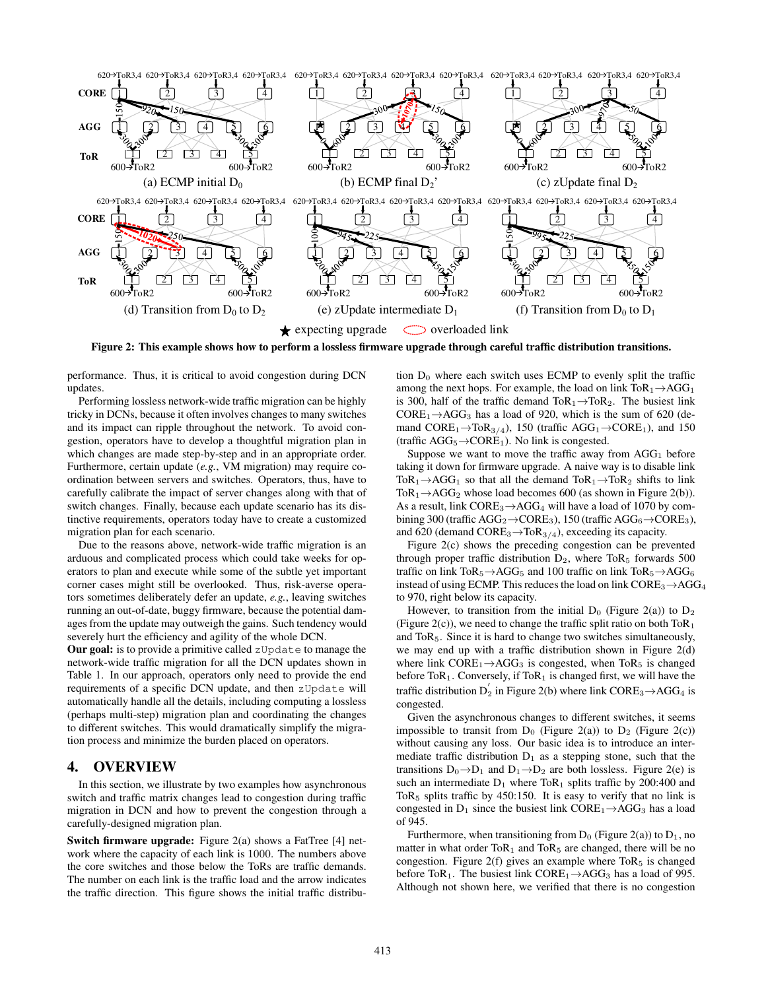

**Figure 2: This example shows how to perform a lossless firmware upgrade through careful traffic distribution transitions.**

performance. Thus, it is critical to avoid congestion during DCN updates.

Performing lossless network-wide traffic migration can be highly tricky in DCNs, because it often involves changes to many switches and its impact can ripple throughout the network. To avoid congestion, operators have to develop a thoughtful migration plan in which changes are made step-by-step and in an appropriate order. Furthermore, certain update (*e.g.*, VM migration) may require coordination between servers and switches. Operators, thus, have to carefully calibrate the impact of server changes along with that of switch changes. Finally, because each update scenario has its distinctive requirements, operators today have to create a customized migration plan for each scenario.

Due to the reasons above, network-wide traffic migration is an arduous and complicated process which could take weeks for operators to plan and execute while some of the subtle yet important corner cases might still be overlooked. Thus, risk-averse operators sometimes deliberately defer an update, *e.g.*, leaving switches running an out-of-date, buggy firmware, because the potential damages from the update may outweigh the gains. Such tendency would severely hurt the efficiency and agility of the whole DCN.

**Our goal:** is to provide a primitive called zUpdate to manage the network-wide traffic migration for all the DCN updates shown in Table 1. In our approach, operators only need to provide the end requirements of a specific DCN update, and then zUpdate will automatically handle all the details, including computing a lossless (perhaps multi-step) migration plan and coordinating the changes to different switches. This would dramatically simplify the migration process and minimize the burden placed on operators.

#### **4. OVERVIEW**

In this section, we illustrate by two examples how asynchronous switch and traffic matrix changes lead to congestion during traffic migration in DCN and how to prevent the congestion through a carefully-designed migration plan.

**Switch firmware upgrade:** Figure 2(a) shows a FatTree [4] network where the capacity of each link is 1000. The numbers above the core switches and those below the ToRs are traffic demands. The number on each link is the traffic load and the arrow indicates the traffic direction. This figure shows the initial traffic distribution  $D_0$  where each switch uses ECMP to evenly split the traffic among the next hops. For example, the load on link  $ToR_1 \rightarrow AGG_1$ is 300, half of the traffic demand  $T \circ R_1 \rightarrow T \circ R_2$ . The busiest link  $CORE_1 \rightarrow AGG_3$  has a load of 920, which is the sum of 620 (demand  $CORE_1 \rightarrow \text{ToR}_{3/4}$ ), 150 (traffic AGG<sub>1</sub> $\rightarrow$ CORE<sub>1</sub>), and 150 (traffic  $AGG_5 \rightarrow CORE_1$ ). No link is congested.

Suppose we want to move the traffic away from  $AGG<sub>1</sub>$  before taking it down for firmware upgrade. A naive way is to disable link ToR<sub>1</sub>→AGG<sub>1</sub> so that all the demand ToR<sub>1</sub>→ToR<sub>2</sub> shifts to link ToR<sub>1</sub>→AGG<sub>2</sub> whose load becomes 600 (as shown in Figure 2(b)). As a result, link  $CORE_3 \rightarrow AGG_4$  will have a load of 1070 by combining 300 (traffic  $AGG_2 \rightarrow CORE_3$ ), 150 (traffic  $AGG_6 \rightarrow CORE_3$ ), and 620 (demand  $CORE_3 \rightarrow ToR_{3/4}$ ), exceeding its capacity.

Figure 2(c) shows the preceding congestion can be prevented through proper traffic distribution  $D_2$ , where ToR<sub>5</sub> forwards 500 traffic on link ToR<sub>5</sub> $\rightarrow$ AGG<sub>5</sub> and 100 traffic on link ToR<sub>5</sub> $\rightarrow$ AGG<sub>6</sub> instead of using ECMP. This reduces the load on link  $CORE_3 \rightarrow AGG_4$ to 970, right below its capacity.

However, to transition from the initial  $D_0$  (Figure 2(a)) to  $D_2$ (Figure 2(c)), we need to change the traffic split ratio on both  $ToR<sub>1</sub>$ and ToR5. Since it is hard to change two switches simultaneously, we may end up with a traffic distribution shown in Figure 2(d) where link  $CORE_1 \rightarrow AGG_3$  is congested, when ToR<sub>5</sub> is changed before ToR<sub>1</sub>. Conversely, if ToR<sub>1</sub> is changed first, we will have the traffic distribution D<sub>2</sub> in Figure 2(b) where link CORE<sub>3</sub> $\rightarrow$ AGG<sub>4</sub> is congested.

Given the asynchronous changes to different switches, it seems impossible to transit from  $D_0$  (Figure 2(a)) to  $D_2$  (Figure 2(c)) without causing any loss. Our basic idea is to introduce an intermediate traffic distribution  $D_1$  as a stepping stone, such that the transitions  $D_0 \rightarrow D_1$  and  $D_1 \rightarrow D_2$  are both lossless. Figure 2(e) is such an intermediate  $D_1$  where ToR<sub>1</sub> splits traffic by 200:400 and ToR $_5$  splits traffic by 450:150. It is easy to verify that no link is congested in  $D_1$  since the busiest link CORE<sub>1</sub> $\rightarrow$ AGG<sub>3</sub> has a load of 945.

Furthermore, when transitioning from  $D_0$  (Figure 2(a)) to  $D_1$ , no matter in what order  $ToR_1$  and  $ToR_5$  are changed, there will be no congestion. Figure 2(f) gives an example where  $ToR<sub>5</sub>$  is changed before ToR<sub>1</sub>. The busiest link  $CORE_1 \rightarrow AGG_3$  has a load of 995. Although not shown here, we verified that there is no congestion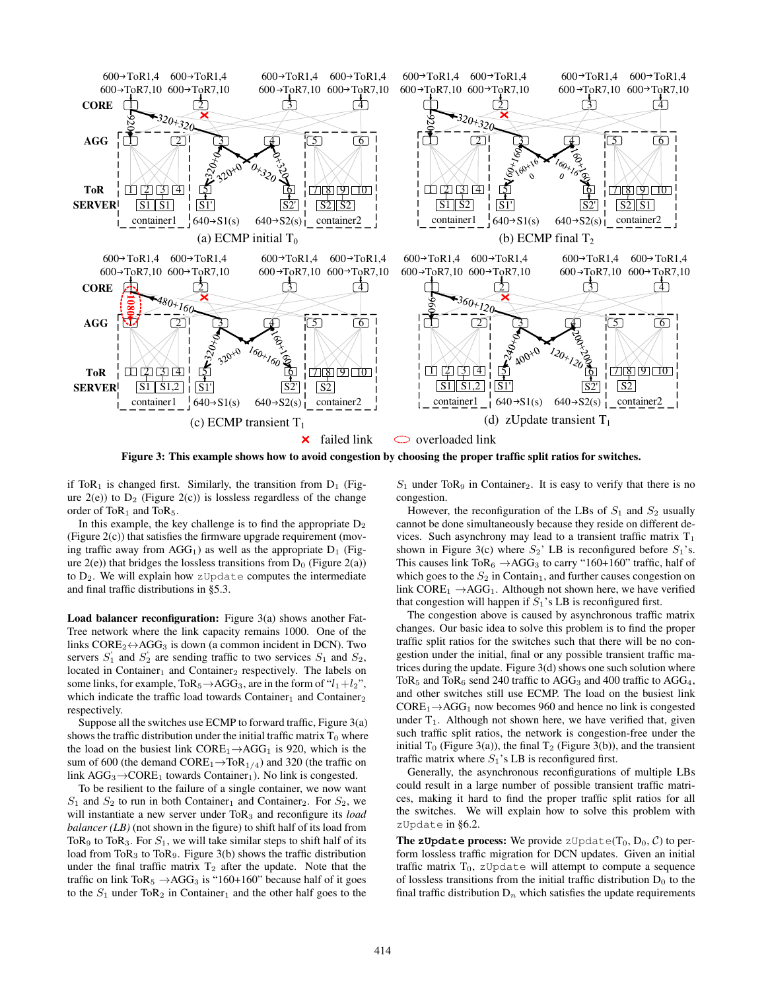

**Figure 3: This example shows how to avoid congestion by choosing the proper traffic split ratios for switches.**

if ToR<sub>1</sub> is changed first. Similarly, the transition from  $D_1$  (Figure  $2(e)$ ) to  $D_2$  (Figure  $2(c)$ ) is lossless regardless of the change order of ToR<sub>1</sub> and ToR<sub>5</sub>.

In this example, the key challenge is to find the appropriate  $D_2$ (Figure 2(c)) that satisfies the firmware upgrade requirement (moving traffic away from  $AGG_1$ ) as well as the appropriate  $D_1$  (Figure  $2(e)$ ) that bridges the lossless transitions from  $D_0$  (Figure  $2(a)$ ) to  $D_2$ . We will explain how zUpdate computes the intermediate and final traffic distributions in §5.3.

**Load balancer reconfiguration:** Figure 3(a) shows another Fat-Tree network where the link capacity remains 1000. One of the links  $CORE_2 \leftrightarrow AGG_3$  is down (a common incident in DCN). Two servers  $S_1$  and  $S_2$  are sending traffic to two services  $S_1$  and  $S_2$ , located in Container<sub>1</sub> and Container<sub>2</sub> respectively. The labels on some links, for example, ToR<sub>5</sub> $\rightarrow$ AGG<sub>3</sub>, are in the form of " $l_1+l_2$ ", which indicate the traffic load towards Container<sub>1</sub> and Container<sub>2</sub> respectively.

Suppose all the switches use ECMP to forward traffic, Figure 3(a) shows the traffic distribution under the initial traffic matrix  $T_0$  where the load on the busiest link  $CORE_1 \rightarrow AGG_1$  is 920, which is the sum of 600 (the demand  $CORE_1 \rightarrow Tor_{1/4}$ ) and 320 (the traffic on link  $AGG_3 \rightarrow CORE_1$  towards Container<sub>1</sub>). No link is congested.

To be resilient to the failure of a single container, we now want  $S_1$  and  $S_2$  to run in both Container<sub>1</sub> and Container<sub>2</sub>. For  $S_2$ , we will instantiate a new server under ToR<sub>3</sub> and reconfigure its *load balancer (LB)* (not shown in the figure) to shift half of its load from ToR<sub>9</sub> to ToR<sub>3</sub>. For  $S_1$ , we will take similar steps to shift half of its load from  $ToR<sub>3</sub>$  to  $ToR<sub>9</sub>$ . Figure 3(b) shows the traffic distribution under the final traffic matrix  $T_2$  after the update. Note that the traffic on link ToR<sub>5</sub>  $\rightarrow$ AGG<sub>3</sub> is "160+160" because half of it goes to the  $S_1$  under ToR<sub>2</sub> in Container<sub>1</sub> and the other half goes to the

 $S_1$  under ToR<sub>9</sub> in Container<sub>2</sub>. It is easy to verify that there is no congestion.

However, the reconfiguration of the LBs of  $S_1$  and  $S_2$  usually cannot be done simultaneously because they reside on different devices. Such asynchrony may lead to a transient traffic matrix  $T_1$ shown in Figure 3(c) where  $S_2$ ' LB is reconfigured before  $S_1$ 's. This causes link  $ToR_6 \rightarrow AGG_3$  to carry "160+160" traffic, half of which goes to the  $S_2$  in Contain<sub>1</sub>, and further causes congestion on link  $CORE_1 \rightarrow AGG_1$ . Although not shown here, we have verified that congestion will happen if  $S_1$ 's LB is reconfigured first.

The congestion above is caused by asynchronous traffic matrix changes. Our basic idea to solve this problem is to find the proper traffic split ratios for the switches such that there will be no congestion under the initial, final or any possible transient traffic matrices during the update. Figure 3(d) shows one such solution where ToR<sub>5</sub> and ToR<sub>6</sub> send 240 traffic to  $AGG_3$  and 400 traffic to  $AGG_4$ , and other switches still use ECMP. The load on the busiest link  $CORE_1 \rightarrow AGG_1$  now becomes 960 and hence no link is congested under  $T_1$ . Although not shown here, we have verified that, given such traffic split ratios, the network is congestion-free under the initial  $T_0$  (Figure 3(a)), the final  $T_2$  (Figure 3(b)), and the transient traffic matrix where  $S_1$ 's LB is reconfigured first.

Generally, the asynchronous reconfigurations of multiple LBs could result in a large number of possible transient traffic matrices, making it hard to find the proper traffic split ratios for all the switches. We will explain how to solve this problem with zUpdate in §6.2.

**The zUpdate process:** We provide  $z$ Update( $T_0$ ,  $D_0$ ,  $C$ ) to perform lossless traffic migration for DCN updates. Given an initial traffic matrix  $T_0$ , zUpdate will attempt to compute a sequence of lossless transitions from the initial traffic distribution  $D_0$  to the final traffic distribution  $D_n$  which satisfies the update requirements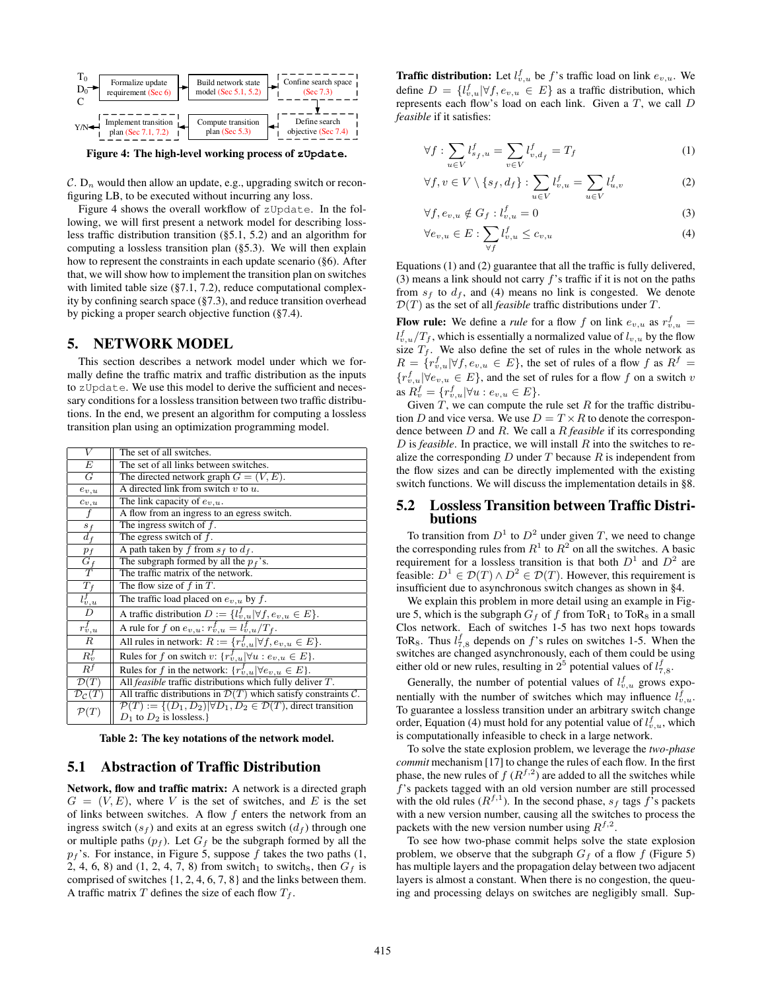

**Figure 4: The high-level working process of zUpdate.**

 $\mathcal{C}.$  D<sub>n</sub> would then allow an update, e.g., upgrading switch or reconfiguring LB, to be executed without incurring any loss.

Figure 4 shows the overall workflow of zUpdate. In the following, we will first present a network model for describing lossless traffic distribution transition (§5.1, 5.2) and an algorithm for computing a lossless transition plan (§5.3). We will then explain how to represent the constraints in each update scenario (§6). After that, we will show how to implement the transition plan on switches with limited table size (§7.1, 7.2), reduce computational complexity by confining search space (§7.3), and reduce transition overhead by picking a proper search objective function (§7.4).

## **5. NETWORK MODEL**

This section describes a network model under which we formally define the traffic matrix and traffic distribution as the inputs to zUpdate. We use this model to derive the sufficient and necessary conditions for a lossless transition between two traffic distributions. In the end, we present an algorithm for computing a lossless transition plan using an optimization programming model.

| V                                    | The set of all switches.                                                                       |  |  |  |
|--------------------------------------|------------------------------------------------------------------------------------------------|--|--|--|
| $\overline{E}$                       | The set of all links between switches.                                                         |  |  |  |
| $\overline{G}$                       | The directed network graph $G = (V, E)$ .                                                      |  |  |  |
| $e_{v,u}$                            | A directed link from switch $v$ to $u$ .                                                       |  |  |  |
| $c_{v,u}$                            | The link capacity of $e_{v,u}$ .                                                               |  |  |  |
| f                                    | A flow from an ingress to an egress switch.                                                    |  |  |  |
| $\frac{s_f}{d_f}$                    | The ingress switch of $f$ .                                                                    |  |  |  |
|                                      | The egress switch of $f$ .                                                                     |  |  |  |
|                                      | A path taken by f from $s_f$ to $d_f$ .                                                        |  |  |  |
| $\frac{p_f}{G_f}$                    | The subgraph formed by all the $p_f$ 's.                                                       |  |  |  |
|                                      | The traffic matrix of the network.                                                             |  |  |  |
|                                      | The flow size of $f$ in $T$ .                                                                  |  |  |  |
| $\frac{T_f}{l_{v,u}^f}$              | The traffic load placed on $e_{v,u}$ by f.                                                     |  |  |  |
| $\overline{D}$                       | A traffic distribution $D := \{l_{v,u}^f   \forall f, e_{v,u} \in E\}.$                        |  |  |  |
| $r_{v,u}^f$                          | A rule for f on $e_{v,u}$ : $r_{v,u}^f = l_{v,u}^f / T_f$ .                                    |  |  |  |
| $\overline{R}$                       | All rules in network: $R := \{r_{v,u}^f   \forall f, e_{v,u} \in E\}.$                         |  |  |  |
| $R_v^f$                              | Rules for f on switch v: $\{r_{v,u}^f   \forall u : e_{v,u} \in E\}.$                          |  |  |  |
| $R^f$                                | Rules for f in the network: $\{r_{v,u}^f \,   \, \forall e_{v,u} \in E\}.$                     |  |  |  |
| $\mathcal{D}(T)$                     | All <i>feasible</i> traffic distributions which fully deliver $T$ .                            |  |  |  |
| $\mathcal{D}_{\mathcal{C}}(\bar{T})$ | All traffic distributions in $\mathcal{D}(T)$ which satisfy constraints C.                     |  |  |  |
| $\mathcal{P}(T)$                     | $\mathcal{P}(T) := \{ (D_1, D_2)   \forall D_1, D_2 \in \mathcal{D}(T) \}$ , direct transition |  |  |  |
|                                      | $D_1$ to $D_2$ is lossless.                                                                    |  |  |  |

**Table 2: The key notations of the network model.**

## **5.1 Abstraction of Traffic Distribution**

**Network, flow and traffic matrix:** A network is a directed graph  $G = (V, E)$ , where V is the set of switches, and E is the set of links between switches. A flow  $f$  enters the network from an ingress switch  $(s_f)$  and exits at an egress switch  $(d_f)$  through one or multiple paths  $(p_f)$ . Let  $G_f$  be the subgraph formed by all the  $p_f$ 's. For instance, in Figure 5, suppose f takes the two paths (1, 2, 4, 6, 8) and (1, 2, 4, 7, 8) from switch<sub>1</sub> to switch<sub>8</sub>, then  $G_f$  is comprised of switches {1, 2, 4, 6, 7, 8} and the links between them. A traffic matrix T defines the size of each flow  $T_f$ .

**Traffic distribution:** Let  $l_{v,u}^f$  be f's traffic load on link  $e_{v,u}$ . We define  $D = \{l_{v,u}^f | \forall f, e_{v,u} \in E\}$  as a traffic distribution, which represents each flow's load on each link. Given a  $T$ , we call  $D$ *feasible* if it satisfies:

$$
\forall f: \sum_{u \in V} l_{s_f, u}^f = \sum_{v \in V} l_{v, d_f}^f = T_f \tag{1}
$$

$$
\forall f, v \in V \setminus \{s_f, d_f\} : \sum_{u \in V} l_{v, u}^f = \sum_{u \in V} l_{u, v}^f \tag{2}
$$

$$
\forall f, e_{v,u} \notin G_f: l_{v,u}^f = 0 \tag{3}
$$

$$
\forall e_{v,u} \in E: \sum_{\forall f} l_{v,u}^f \le c_{v,u} \tag{4}
$$

Equations (1) and (2) guarantee that all the traffic is fully delivered, (3) means a link should not carry  $f$ 's traffic if it is not on the paths from  $s_f$  to  $d_f$ , and (4) means no link is congested. We denote  $\mathcal{D}(T)$  as the set of all *feasible* traffic distributions under T.

**Flow rule:** We define a *rule* for a flow f on link  $e_{v,u}$  as  $r_{v,u}^f =$  $l_{v,u}^f/T_f$ , which is essentially a normalized value of  $l_{v,u}$  by the flow size  $T_f$ . We also define the set of rules in the whole network as  $R = \{r_{v,u}^f | \forall f, e_{v,u} \in E\}$ , the set of rules of a flow f as  $R^f =$  ${r_{v,u}^f | \forall e_{v,u} \in E}$ , and the set of rules for a flow f on a switch v as  $R_v^f = \{r_{v,u}^f | \forall u : e_{v,u} \in E\}.$ 

Given  $T$ , we can compute the rule set  $R$  for the traffic distribution D and vice versa. We use  $D = T \times R$  to denote the correspondence between D and R. We call a R *feasible* if its corresponding D is *feasible*. In practice, we will install  $R$  into the switches to realize the corresponding  $D$  under  $T$  because  $R$  is independent from the flow sizes and can be directly implemented with the existing switch functions. We will discuss the implementation details in §8.

#### **5.2 Lossless Transition between Traffic Distributions**

To transition from  $D^1$  to  $D^2$  under given T, we need to change the corresponding rules from  $R^1$  to  $R^2$  on all the switches. A basic requirement for a lossless transition is that both  $D^1$  and  $D^2$  are feasible:  $D^1 \in \mathcal{D}(T) \wedge D^2 \in \mathcal{D}(T)$ . However, this requirement is insufficient due to asynchronous switch changes as shown in §4.

We explain this problem in more detail using an example in Figure 5, which is the subgraph  $G_f$  of f from ToR<sub>1</sub> to ToR<sub>8</sub> in a small Clos network. Each of switches 1-5 has two next hops towards ToR<sub>8</sub>. Thus  $l_{7,8}^f$  depends on f's rules on switches 1-5. When the switches are changed asynchronously, each of them could be using either old or new rules, resulting in  $2^5$  potential values of  $l_{7,8}^f$ .

Generally, the number of potential values of  $l_{v,u}^f$  grows exponentially with the number of switches which may influence  $l_{v,u}^f$ . To guarantee a lossless transition under an arbitrary switch change order, Equation (4) must hold for any potential value of  $l_{v,u}^f$ , which is computationally infeasible to check in a large network.

To solve the state explosion problem, we leverage the *two-phase commit* mechanism [17] to change the rules of each flow. In the first phase, the new rules of  $f(R^{f,2})$  are added to all the switches while f's packets tagged with an old version number are still processed with the old rules  $(R^{f,1})$ . In the second phase,  $s_f$  tags  $f^{\dagger}$ s packets with a new version number, causing all the switches to process the packets with the new version number using  $R^{f,2}$ .

To see how two-phase commit helps solve the state explosion problem, we observe that the subgraph  $G_f$  of a flow f (Figure 5) has multiple layers and the propagation delay between two adjacent layers is almost a constant. When there is no congestion, the queuing and processing delays on switches are negligibly small. Sup-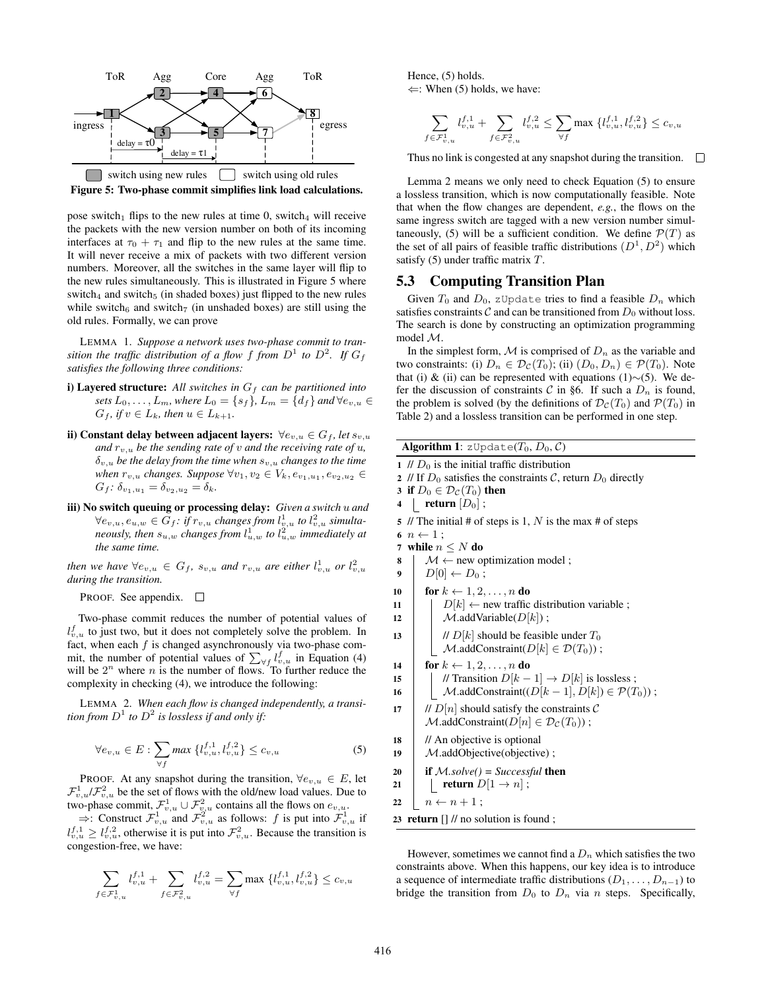

**Figure 5: Two-phase commit simplifies link load calculations.**

pose switch<sub>1</sub> flips to the new rules at time 0, switch<sub>4</sub> will receive the packets with the new version number on both of its incoming interfaces at  $\tau_0 + \tau_1$  and flip to the new rules at the same time. It will never receive a mix of packets with two different version numbers. Moreover, all the switches in the same layer will flip to the new rules simultaneously. This is illustrated in Figure 5 where switch $_4$  and switch $_5$  (in shaded boxes) just flipped to the new rules while switch $_6$  and switch<sub>7</sub> (in unshaded boxes) are still using the old rules. Formally, we can prove

LEMMA 1. *Suppose a network uses two-phase commit to tran*sition the traffic distribution of a flow f from  $D^1$  to  $D^2$ . If  $G_f$ *satisfies the following three conditions:*

- **i) Layered structure:** All switches in  $G_f$  can be partitioned into *sets*  $L_0, \ldots, L_m$ , where  $L_0 = \{s_f\}$ ,  $L_m = \{d_f\}$  and  $\forall e_{v,u} \in$  $G_f$ , if  $v \in L_k$ , then  $u \in L_{k+1}$ .
- **ii) Constant delay between adjacent layers:**  $\forall e_{v,u} \in G_f$ , let  $s_{v,u}$ *and*  $r_{v,u}$  *be the sending rate of v and the receiving rate of u*,  $\delta_{v,u}$  *be the delay from the time when*  $s_{v,u}$  *changes to the time* when  $r_{v,u}$  changes. Suppose  $\forall v_1, v_2 \in V_k, e_{v_1,u_1}, e_{v_2,u_2} \in$  $G_f$ :  $\delta_{v_1, u_1} = \delta_{v_2, u_2} = \delta_k$ .
- **iii) No switch queuing or processing delay:** *Given a switch* u *and*  $\forall e_{v,u}, e_{u,w} \in G_f$ : if  $r_{v,u}$  changes from  $l_{v,u}^1$  to  $l_{v,u}^2$  simulta*neously, then*  $s_{u,w}$  *changes from*  $l_{u,w}^1$  *to*  $l_{u,w}^2$  *immediately at the same time.*

*then we have*  $\forall e_{v,u} \in G_f$ ,  $s_{v,u}$  and  $r_{v,u}$  are either  $l_{v,u}^1$  or  $l_{v,u}^2$ *during the transition.*

**PROOF.** See appendix.  $\Box$ 

Two-phase commit reduces the number of potential values of  $l_{v,u}^f$  to just two, but it does not completely solve the problem. In fact, when each  $f$  is changed asynchronously via two-phase commit, the number of potential values of  $\sum_{\forall f} l_{v,u}^f$  in Equation (4) will be  $2^n$  where *n* is the number of flows. To further reduce the complexity in checking (4), we introduce the following:

LEMMA 2. *When each flow is changed independently, a transition from*  $D^1$  *to*  $D^2$  *is lossless if and only if:* 

$$
\forall e_{v,u} \in E: \sum_{\forall f} \max \{l_{v,u}^{f,1}, l_{v,u}^{f,2}\} \le c_{v,u}
$$
 (5)

PROOF. At any snapshot during the transition,  $\forall e_{v,u} \in E$ , let  $\mathcal{F}_{v,u}^1/\mathcal{F}_{v,u}^2$  be the set of flows with the old/new load values. Due to two-phase commit,  $\mathcal{F}_{v,u}^1 \cup \mathcal{F}_{v,u}^2$  contains all the flows on  $e_{v,u}$ .

 $\Rightarrow$ : Construct  $\mathcal{F}^1_{v,u}$  and  $\mathcal{F}^2_{v,u}$  as follows: f is put into  $\mathcal{F}^1_{v,u}$  if  $l_{v,u}^{f,1} \ge l_{v,u}^{f,2}$ , otherwise it is put into  $\mathcal{F}_{v,u}^2$ . Because the transition is congestion-free, we have:

$$
\sum_{f \in \mathcal{F}_{v,u}^1} l_{v,u}^{f,1} + \sum_{f \in \mathcal{F}_{v,u}^2} l_{v,u}^{f,2} = \sum_{\forall f} \max \ \{l_{v,u}^{f,1}, l_{v,u}^{f,2}\} \leq c_{v,u}
$$

Hence, (5) holds.  $\Leftarrow$ : When (5) holds, we have:

> $\sum$  $f \in \mathcal{F}^1_{v,u}$  $l_{v,u}^{f,1} + \sum$  $f \in \mathcal{F}^2_{v,u}$  $l^{f,2}_{v,u}\leq \sum$ ∀f max  $\{l_{v,u}^{f,1}, l_{v,u}^{f,2}\}\leq c_{v,u}$

Thus no link is congested at any snapshot during the transition.  $\Box$ 

Lemma 2 means we only need to check Equation (5) to ensure a lossless transition, which is now computationally feasible. Note that when the flow changes are dependent, *e.g.*, the flows on the same ingress switch are tagged with a new version number simultaneously, (5) will be a sufficient condition. We define  $\mathcal{P}(T)$  as the set of all pairs of feasible traffic distributions  $(D^1, D^2)$  which satisfy (5) under traffic matrix T.

## **5.3 Computing Transition Plan**

Given  $T_0$  and  $D_0$ , zUpdate tries to find a feasible  $D_n$  which satisfies constraints C and can be transitioned from  $D_0$  without loss. The search is done by constructing an optimization programming model M.

In the simplest form,  $M$  is comprised of  $D_n$  as the variable and two constraints: (i)  $D_n \in \mathcal{D}_{\mathcal{C}}(T_0)$ ; (ii)  $(D_0, D_n) \in \mathcal{P}(T_0)$ . Note that (i) & (ii) can be represented with equations (1)∼(5). We defer the discussion of constraints  $C$  in §6. If such a  $D_n$  is found, the problem is solved (by the definitions of  $\mathcal{D}_{\mathcal{C}}(T_0)$  and  $\mathcal{P}(T_0)$  in Table 2) and a lossless transition can be performed in one step.

**Algorithm 1**:  $z$ Update( $T_0$ ,  $D_0$ ,  $C$ )

- **1**  $\pi$  *l*/ $D_0$  is the initial traffic distribution
- 2 // If  $D_0$  satisfies the constraints C, return  $D_0$  directly

**3 if**  $D_0 \in \mathcal{D}_\mathcal{C}(T_0)$  **then** 

4 **return**  $[D_0]$ ;

- **5** // The initial # of steps is 1, N is the max # of steps
- 6  $n \leftarrow 1$ ;
- **7 while**  $n \leq N$  **do**
- **8**  $\mathcal{M} \leftarrow$  new optimization model;
- $9 | D[0] \leftarrow D_0;$
- **10 for**  $k \leftarrow 1, 2, ..., n$  **do 11**  $\vert D[k] \leftarrow$  new traffic distribution variable ;
- **12** |  $\mathcal{M}$ .addVariable( $D[k]$ );

13 
$$
||U[D[k]]
$$
 should be feasible under  $T_0$   

$$
M.addConstraint(D[k]] \in \mathcal{D}(T_0));
$$

14 **for** 
$$
k \leftarrow 1, 2, ..., n
$$
 **do**  
\n15  $|N|$  Transition  $D[k-1] \rightarrow D[k]$  is lossless;  
\n16  $\mathcal{M}$ .addConstraint( $(D[k-1], D[k]) \in \mathcal{P}(T_0)$ );  
\n17  $|N|$  should satisfy the constraints  $C$   
\n $\mathcal{M}$ .addConstraint( $D[n] \in \mathcal{D}_{\mathcal{C}}(T_0)$ );

**18** // An objective is optional 19 | M.addObjective(objective);

**20 if** M*.solve() = Successful* **then**

$$
21 \mid \text{return } D[1 \to n];
$$

$$
22 \mid n \leftarrow n+1 \ ;
$$

**23 return** [] // no solution is found ;

However, sometimes we cannot find a  $D_n$  which satisfies the two constraints above. When this happens, our key idea is to introduce a sequence of intermediate traffic distributions  $(D_1, \ldots, D_{n-1})$  to bridge the transition from  $D_0$  to  $D_n$  via n steps. Specifically,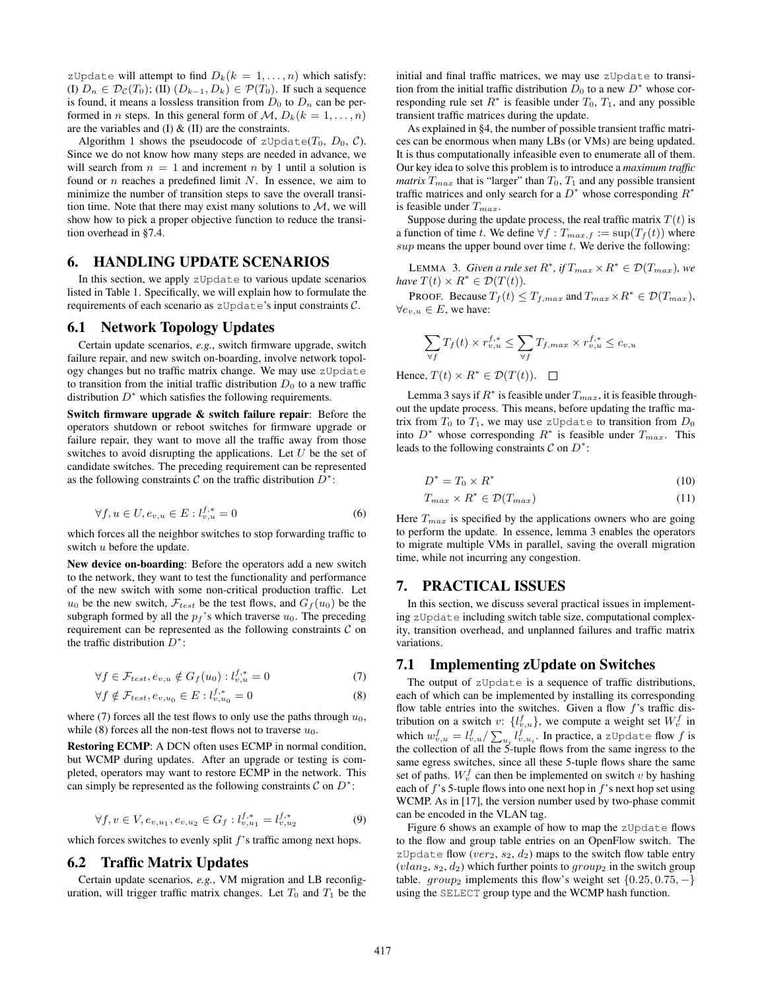zUpdate will attempt to find  $D_k(k = 1, \ldots, n)$  which satisfy: (I)  $D_n \in \mathcal{D}_{\mathcal{C}}(T_0)$ ; (II)  $(D_{k-1}, D_k) \in \mathcal{P}(T_0)$ . If such a sequence is found, it means a lossless transition from  $D_0$  to  $D_n$  can be performed in *n* steps. In this general form of  $M, D_k(k = 1, \ldots, n)$ are the variables and  $(I) \& (II)$  are the constraints.

Algorithm 1 shows the pseudocode of zUpdate( $T_0$ ,  $D_0$ ,  $C$ ). Since we do not know how many steps are needed in advance, we will search from  $n = 1$  and increment n by 1 until a solution is found or  $n$  reaches a predefined limit  $N$ . In essence, we aim to minimize the number of transition steps to save the overall transition time. Note that there may exist many solutions to  $M$ , we will show how to pick a proper objective function to reduce the transition overhead in §7.4.

### **6. HANDLING UPDATE SCENARIOS**

In this section, we apply zUpdate to various update scenarios listed in Table 1. Specifically, we will explain how to formulate the requirements of each scenario as  $z$ Update's input constraints  $C$ .

### **6.1 Network Topology Updates**

Certain update scenarios, *e.g.*, switch firmware upgrade, switch failure repair, and new switch on-boarding, involve network topology changes but no traffic matrix change. We may use zUpdate to transition from the initial traffic distribution  $D_0$  to a new traffic distribution  $D^*$  which satisfies the following requirements.

**Switch firmware upgrade & switch failure repair**: Before the operators shutdown or reboot switches for firmware upgrade or failure repair, they want to move all the traffic away from those switches to avoid disrupting the applications. Let  $U$  be the set of candidate switches. The preceding requirement can be represented as the following constraints C on the traffic distribution  $\overline{D}^*$ :

$$
\forall f, u \in U, e_{v,u} \in E : l_{v,u}^{f,*} = 0 \tag{6}
$$

which forces all the neighbor switches to stop forwarding traffic to switch  $u$  before the update.

**New device on-boarding**: Before the operators add a new switch to the network, they want to test the functionality and performance of the new switch with some non-critical production traffic. Let  $u_0$  be the new switch,  $\mathcal{F}_{test}$  be the test flows, and  $G_f(u_0)$  be the subgraph formed by all the  $p_f$ 's which traverse  $u_0$ . The preceding requirement can be represented as the following constraints  $C$  on the traffic distribution  $\hat{D}^*$ :

$$
\forall f \in \mathcal{F}_{test}, e_{v,u} \notin G_f(u_0) : l_{v,u}^{f,*} = 0 \tag{7}
$$

$$
\forall f \notin \mathcal{F}_{test}, e_{v,u_0} \in E: l_{v,u_0}^{f,*} = 0 \tag{8}
$$

where (7) forces all the test flows to only use the paths through  $u_0$ , while (8) forces all the non-test flows not to traverse  $u_0$ .

**Restoring ECMP**: A DCN often uses ECMP in normal condition, but WCMP during updates. After an upgrade or testing is completed, operators may want to restore ECMP in the network. This can simply be represented as the following constraints  $\mathcal C$  on  $D^*$ :

$$
\forall f, v \in V, e_{v, u_1}, e_{v, u_2} \in G_f : l_{v, u_1}^{f, *} = l_{v, u_2}^{f, *}
$$
\n
$$
(9)
$$

which forces switches to evenly split  $f$ 's traffic among next hops.

#### **6.2 Traffic Matrix Updates**

Certain update scenarios, *e.g.*, VM migration and LB reconfiguration, will trigger traffic matrix changes. Let  $T_0$  and  $T_1$  be the initial and final traffic matrices, we may use zUpdate to transition from the initial traffic distribution  $\overline{D}_0$  to a new  $D^*$  whose corresponding rule set  $R^*$  is feasible under  $T_0$ ,  $T_1$ , and any possible transient traffic matrices during the update.

As explained in §4, the number of possible transient traffic matrices can be enormous when many LBs (or VMs) are being updated. It is thus computationally infeasible even to enumerate all of them. Our key idea to solve this problem is to introduce a *maximum traffic matrix*  $T_{max}$  that is "larger" than  $T_0$ ,  $T_1$  and any possible transient traffic matrices and only search for a  $D^*$  whose corresponding  $R^*$ is feasible under  $T_{max}$ .

Suppose during the update process, the real traffic matrix  $T(t)$  is a function of time t. We define  $\forall f : T_{max,f} := \sup(T_f(t))$  where  $sup$  means the upper bound over time  $t$ . We derive the following:

LEMMA 3. *Given a rule set*  $R^*$ , *if*  $T_{max} \times R^* \in \mathcal{D}(T_{max})$ , we *have*  $T(t) \times R^* \in \mathcal{D}(T(t))$ *.* 

PROOF. Because  $T_f(t) \leq T_{f,max}$  and  $T_{max} \times R^* \in \mathcal{D}(T_{max})$ ,  $∀e<sub>v,u</sub> ∈ E$ , we have:

$$
\sum_{\forall f} T_f(t) \times r_{v,u}^{f,*} \le \sum_{\forall f} T_{f,max} \times r_{v,u}^{f,*} \le c_{v,u}
$$

Hence,  $T(t) \times R^* \in \mathcal{D}(T(t)).$ 

Lemma 3 says if  $R^*$  is feasible under  $T_{max}$ , it is feasible throughout the update process. This means, before updating the traffic matrix from  $T_0$  to  $T_1$ , we may use zUpdate to transition from  $D_0$ into  $D^*$  whose corresponding  $R^*$  is feasible under  $T_{max}$ . This leads to the following constraints  $\mathcal C$  on  $D^*$ :

$$
D^* = T_0 \times R^* \tag{10}
$$

$$
T_{max} \times R^* \in \mathcal{D}(T_{max})
$$
\n(11)

Here  $T_{max}$  is specified by the applications owners who are going to perform the update. In essence, lemma 3 enables the operators to migrate multiple VMs in parallel, saving the overall migration time, while not incurring any congestion.

### **7. PRACTICAL ISSUES**

In this section, we discuss several practical issues in implementing zUpdate including switch table size, computational complexity, transition overhead, and unplanned failures and traffic matrix variations.

#### **7.1 Implementing zUpdate on Switches**

The output of zUpdate is a sequence of traffic distributions, each of which can be implemented by installing its corresponding flow table entries into the switches. Given a flow  $f$ 's traffic distribution on a switch v:  $\{l_{v,u}^f\}$ , we compute a weight set  $W_v^f$  in which  $w_{v,u}^f = l_{v,u}^f/\sum_{u_i} l_{v,u_i}^f.$  In practice, a zUpdate flow  $f$  is the collection of all the  $5$ -tuple flows from the same ingress to the same egress switches, since all these 5-tuple flows share the same set of paths.  $W_v^f$  can then be implemented on switch v by hashing each of  $f$ 's 5-tuple flows into one next hop in  $f$ 's next hop set using WCMP. As in [17], the version number used by two-phase commit can be encoded in the VLAN tag.

Figure 6 shows an example of how to map the zUpdate flows to the flow and group table entries on an OpenFlow switch. The zUpdate flow (ver<sub>2</sub>,  $s_2$ ,  $d_2$ ) maps to the switch flow table entry  $(vlan_2, s_2, d_2)$  which further points to  $group_2$  in the switch group table. group<sub>2</sub> implements this flow's weight set  $\{0.25, 0.75, -\}$ using the SELECT group type and the WCMP hash function.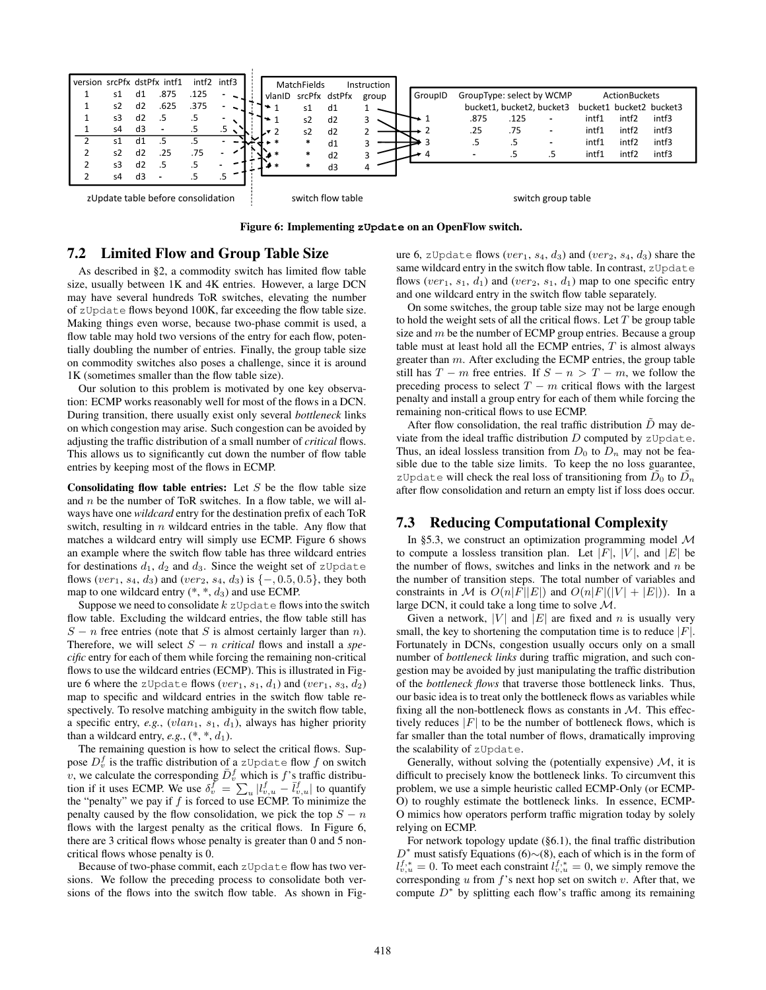

**Figure 6: Implementing zUpdate on an OpenFlow switch.**

## **7.2 Limited Flow and Group Table Size**

As described in §2, a commodity switch has limited flow table size, usually between 1K and 4K entries. However, a large DCN may have several hundreds ToR switches, elevating the number of zUpdate flows beyond 100K, far exceeding the flow table size. Making things even worse, because two-phase commit is used, a flow table may hold two versions of the entry for each flow, potentially doubling the number of entries. Finally, the group table size on commodity switches also poses a challenge, since it is around 1K (sometimes smaller than the flow table size).

Our solution to this problem is motivated by one key observation: ECMP works reasonably well for most of the flows in a DCN. During transition, there usually exist only several *bottleneck* links on which congestion may arise. Such congestion can be avoided by adjusting the traffic distribution of a small number of *critical* flows. This allows us to significantly cut down the number of flow table entries by keeping most of the flows in ECMP.

**Consolidating flow table entries:** Let S be the flow table size and  $n$  be the number of ToR switches. In a flow table, we will always have one *wildcard* entry for the destination prefix of each ToR switch, resulting in  $n$  wildcard entries in the table. Any flow that matches a wildcard entry will simply use ECMP. Figure 6 shows an example where the switch flow table has three wildcard entries for destinations  $d_1$ ,  $d_2$  and  $d_3$ . Since the weight set of zUpdate flows (ver<sub>1</sub>,  $s_4$ ,  $d_3$ ) and (ver<sub>2</sub>,  $s_4$ ,  $d_3$ ) is  $\{-, 0.5, 0.5\}$ , they both map to one wildcard entry  $(*, *, d_3)$  and use ECMP.

Suppose we need to consolidate  $k$  zUpdate flows into the switch flow table. Excluding the wildcard entries, the flow table still has  $S - n$  free entries (note that S is almost certainly larger than n). Therefore, we will select S − n *critical* flows and install a *specific* entry for each of them while forcing the remaining non-critical flows to use the wildcard entries (ECMP). This is illustrated in Figure 6 where the zUpdate flows  $(ver_1, s_1, d_1)$  and  $(ver_1, s_3, d_2)$ map to specific and wildcard entries in the switch flow table respectively. To resolve matching ambiguity in the switch flow table, a specific entry, *e.g.*,  $(vlan_1, s_1, d_1)$ , always has higher priority than a wildcard entry,  $e.g., (*, *, d_1)$ .

The remaining question is how to select the critical flows. Suppose  $D_v^f$  is the traffic distribution of a zUpdate flow  $f$  on switch v, we calculate the corresponding  $\bar{D}_{v}^{f}$  which is f's traffic distribution if it uses ECMP. We use  $\delta_v^f = \sum_u |l_{v,u}^f - \bar{l}_{v,u}^f|$  to quantify the "penalty" we pay if  $f$  is forced to use ECMP. To minimize the penalty caused by the flow consolidation, we pick the top  $S - n$ flows with the largest penalty as the critical flows. In Figure 6, there are 3 critical flows whose penalty is greater than 0 and 5 noncritical flows whose penalty is 0.

Because of two-phase commit, each zUpdate flow has two versions. We follow the preceding process to consolidate both versions of the flows into the switch flow table. As shown in Figure 6, zUpdate flows (ver<sub>1</sub>,  $s_4$ ,  $d_3$ ) and (ver<sub>2</sub>,  $s_4$ ,  $d_3$ ) share the same wildcard entry in the switch flow table. In contrast, zUpdate flows (ver<sub>1</sub>,  $s_1$ ,  $d_1$ ) and (ver<sub>2</sub>,  $s_1$ ,  $d_1$ ) map to one specific entry and one wildcard entry in the switch flow table separately.

On some switches, the group table size may not be large enough to hold the weight sets of all the critical flows. Let  $T$  be group table size and  $m$  be the number of ECMP group entries. Because a group table must at least hold all the ECMP entries,  $T$  is almost always greater than  $m$ . After excluding the ECMP entries, the group table still has  $T - m$  free entries. If  $S - n > T - m$ , we follow the preceding process to select  $T - m$  critical flows with the largest penalty and install a group entry for each of them while forcing the remaining non-critical flows to use ECMP.

After flow consolidation, the real traffic distribution  $\overline{D}$  may deviate from the ideal traffic distribution  $D$  computed by zUpdate. Thus, an ideal lossless transition from  $D_0$  to  $D_n$  may not be feasible due to the table size limits. To keep the no loss guarantee, zUpdate will check the real loss of transitioning from  $D_0$  to  $D_n$ after flow consolidation and return an empty list if loss does occur.

## **7.3 Reducing Computational Complexity**

In §5.3, we construct an optimization programming model  $M$ to compute a lossless transition plan. Let  $|F|$ ,  $|V|$ , and  $|E|$  be the number of flows, switches and links in the network and  $n$  be the number of transition steps. The total number of variables and constraints in M is  $O(n|F||E|)$  and  $O(n|F|(|V| + |E|))$ . In a large DCN, it could take a long time to solve M.

Given a network,  $|V|$  and  $|E|$  are fixed and n is usually very small, the key to shortening the computation time is to reduce  $|F|$ . Fortunately in DCNs, congestion usually occurs only on a small number of *bottleneck links* during traffic migration, and such congestion may be avoided by just manipulating the traffic distribution of the *bottleneck flows* that traverse those bottleneck links. Thus, our basic idea is to treat only the bottleneck flows as variables while fixing all the non-bottleneck flows as constants in  $M$ . This effectively reduces  $|F|$  to be the number of bottleneck flows, which is far smaller than the total number of flows, dramatically improving the scalability of zUpdate.

Generally, without solving the (potentially expensive)  $M$ , it is difficult to precisely know the bottleneck links. To circumvent this problem, we use a simple heuristic called ECMP-Only (or ECMP-O) to roughly estimate the bottleneck links. In essence, ECMP-O mimics how operators perform traffic migration today by solely relying on ECMP.

For network topology update (§6.1), the final traffic distribution D <sup>∗</sup> must satisfy Equations (6)∼(8), each of which is in the form of  $l_{v,u}^{f,*} = 0$ . To meet each constraint  $l_{v,u}^{f,*} = 0$ , we simply remove the corresponding  $u$  from  $f$ 's next hop set on switch  $v$ . After that, we compute  $D^*$  by splitting each flow's traffic among its remaining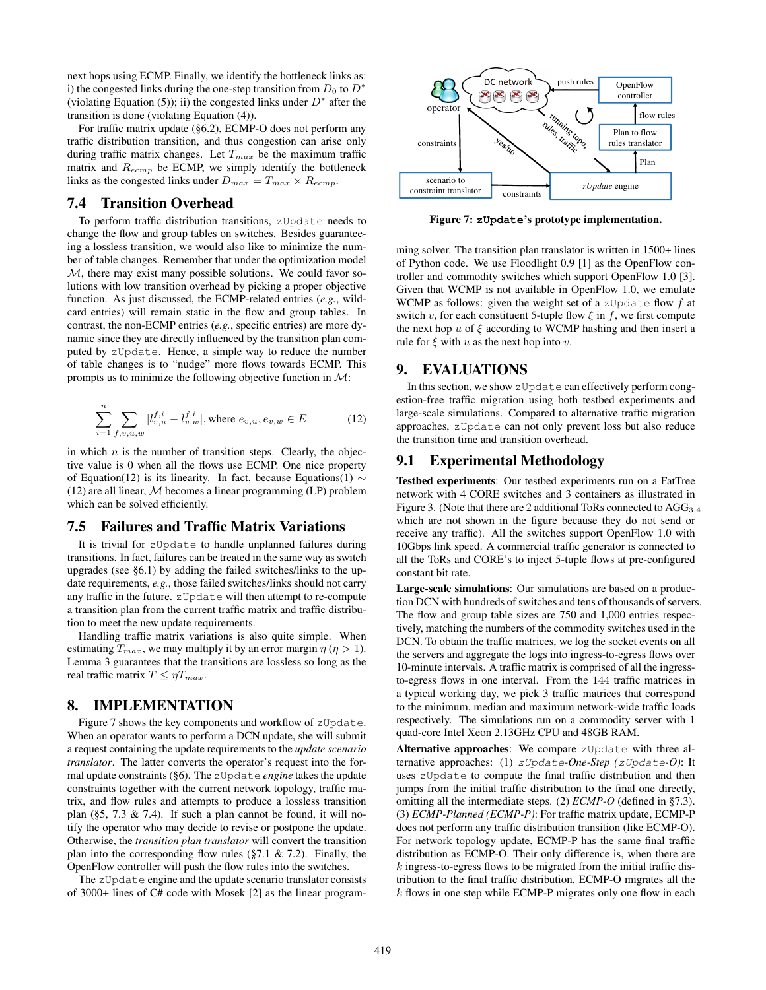next hops using ECMP. Finally, we identify the bottleneck links as: i) the congested links during the one-step transition from  $D_0$  to  $D^*$ (violating Equation (5)); ii) the congested links under  $D^*$  after the transition is done (violating Equation (4)).

For traffic matrix update (§6.2), ECMP-O does not perform any traffic distribution transition, and thus congestion can arise only during traffic matrix changes. Let  $T_{max}$  be the maximum traffic matrix and  $R_{ecmp}$  be ECMP, we simply identify the bottleneck links as the congested links under  $D_{max} = T_{max} \times R_{ecmp}$ .

#### **7.4 Transition Overhead**

To perform traffic distribution transitions, zUpdate needs to change the flow and group tables on switches. Besides guaranteeing a lossless transition, we would also like to minimize the number of table changes. Remember that under the optimization model M, there may exist many possible solutions. We could favor solutions with low transition overhead by picking a proper objective function. As just discussed, the ECMP-related entries (*e.g.*, wildcard entries) will remain static in the flow and group tables. In contrast, the non-ECMP entries (*e.g.*, specific entries) are more dynamic since they are directly influenced by the transition plan computed by zUpdate. Hence, a simple way to reduce the number of table changes is to "nudge" more flows towards ECMP. This prompts us to minimize the following objective function in M:

$$
\sum_{i=1}^{n} \sum_{f,v,u,w} |l_{v,u}^{f,i} - l_{v,w}^{f,i}|, \text{where } e_{v,u}, e_{v,w} \in E
$$
 (12)

in which  $n$  is the number of transition steps. Clearly, the objective value is 0 when all the flows use ECMP. One nice property of Equation(12) is its linearity. In fact, because Equations(1)  $\sim$ (12) are all linear, M becomes a linear programming (LP) problem which can be solved efficiently.

#### **7.5 Failures and Traffic Matrix Variations**

It is trivial for zUpdate to handle unplanned failures during transitions. In fact, failures can be treated in the same way as switch upgrades (see §6.1) by adding the failed switches/links to the update requirements, *e.g.*, those failed switches/links should not carry any traffic in the future. zUpdate will then attempt to re-compute a transition plan from the current traffic matrix and traffic distribution to meet the new update requirements.

Handling traffic matrix variations is also quite simple. When estimating  $T_{max}$ , we may multiply it by an error margin  $\eta$  ( $\eta > 1$ ). Lemma 3 guarantees that the transitions are lossless so long as the real traffic matrix  $T \leq \eta T_{max}$ .

## **8. IMPLEMENTATION**

Figure 7 shows the key components and workflow of zUpdate. When an operator wants to perform a DCN update, she will submit a request containing the update requirements to the *update scenario translator*. The latter converts the operator's request into the formal update constraints (§6). The zUpdate *engine* takes the update constraints together with the current network topology, traffic matrix, and flow rules and attempts to produce a lossless transition plan  $(\S 5, 7.3 \& 7.4)$ . If such a plan cannot be found, it will notify the operator who may decide to revise or postpone the update. Otherwise, the *transition plan translator* will convert the transition plan into the corresponding flow rules ( $\S 7.1 \& 7.2$ ). Finally, the OpenFlow controller will push the flow rules into the switches.

The zUpdate engine and the update scenario translator consists of 3000+ lines of C# code with Mosek [2] as the linear program-



**Figure 7: zUpdate's prototype implementation.**

ming solver. The transition plan translator is written in 1500+ lines of Python code. We use Floodlight 0.9 [1] as the OpenFlow controller and commodity switches which support OpenFlow 1.0 [3]. Given that WCMP is not available in OpenFlow 1.0, we emulate WCMP as follows: given the weight set of a zUpdate flow  $f$  at switch v, for each constituent 5-tuple flow  $\xi$  in  $f$ , we first compute the next hop  $u$  of  $\xi$  according to WCMP hashing and then insert a rule for  $\xi$  with u as the next hop into v.

#### **9. EVALUATIONS**

In this section, we show zUpdate can effectively perform congestion-free traffic migration using both testbed experiments and large-scale simulations. Compared to alternative traffic migration approaches, zUpdate can not only prevent loss but also reduce the transition time and transition overhead.

## **9.1 Experimental Methodology**

**Testbed experiments**: Our testbed experiments run on a FatTree network with 4 CORE switches and 3 containers as illustrated in Figure 3. (Note that there are 2 additional ToRs connected to  $\text{AGG}_{3,4}$ which are not shown in the figure because they do not send or receive any traffic). All the switches support OpenFlow 1.0 with 10Gbps link speed. A commercial traffic generator is connected to all the ToRs and CORE's to inject 5-tuple flows at pre-configured constant bit rate.

**Large-scale simulations**: Our simulations are based on a production DCN with hundreds of switches and tens of thousands of servers. The flow and group table sizes are 750 and 1,000 entries respectively, matching the numbers of the commodity switches used in the DCN. To obtain the traffic matrices, we log the socket events on all the servers and aggregate the logs into ingress-to-egress flows over 10-minute intervals. A traffic matrix is comprised of all the ingressto-egress flows in one interval. From the 144 traffic matrices in a typical working day, we pick 3 traffic matrices that correspond to the minimum, median and maximum network-wide traffic loads respectively. The simulations run on a commodity server with 1 quad-core Intel Xeon 2.13GHz CPU and 48GB RAM.

**Alternative approaches**: We compare zUpdate with three alternative approaches: (1) zUpdate*-One-Step (*zUpdate*-O)*: It uses zUpdate to compute the final traffic distribution and then jumps from the initial traffic distribution to the final one directly, omitting all the intermediate steps. (2) *ECMP-O* (defined in §7.3). (3) *ECMP-Planned (ECMP-P)*: For traffic matrix update, ECMP-P does not perform any traffic distribution transition (like ECMP-O). For network topology update, ECMP-P has the same final traffic distribution as ECMP-O. Their only difference is, when there are  $k$  ingress-to-egress flows to be migrated from the initial traffic distribution to the final traffic distribution, ECMP-O migrates all the  $k$  flows in one step while ECMP-P migrates only one flow in each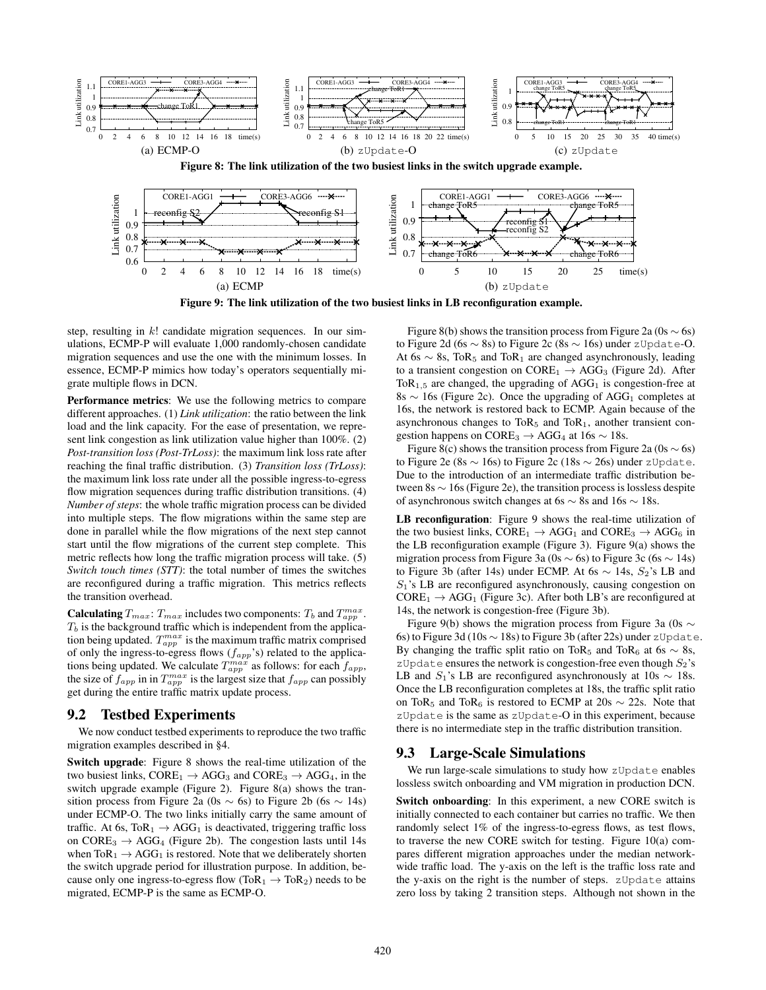

**Figure 9: The link utilization of the two busiest links in LB reconfiguration example.**

step, resulting in  $k!$  candidate migration sequences. In our simulations, ECMP-P will evaluate 1,000 randomly-chosen candidate migration sequences and use the one with the minimum losses. In essence, ECMP-P mimics how today's operators sequentially migrate multiple flows in DCN.

**Performance metrics**: We use the following metrics to compare different approaches. (1) *Link utilization*: the ratio between the link load and the link capacity. For the ease of presentation, we represent link congestion as link utilization value higher than 100%. (2) *Post-transition loss (Post-TrLoss)*: the maximum link loss rate after reaching the final traffic distribution. (3) *Transition loss (TrLoss)*: the maximum link loss rate under all the possible ingress-to-egress flow migration sequences during traffic distribution transitions. (4) *Number of steps*: the whole traffic migration process can be divided into multiple steps. The flow migrations within the same step are done in parallel while the flow migrations of the next step cannot start until the flow migrations of the current step complete. This metric reflects how long the traffic migration process will take. (5) *Switch touch times (STT)*: the total number of times the switches are reconfigured during a traffic migration. This metrics reflects the transition overhead.

**Calculating**  $T_{max}$ :  $T_{max}$  includes two components:  $T_b$  and  $T_{app}^{max}$ .  $T<sub>b</sub>$  is the background traffic which is independent from the application being updated.  $T_{app}^{max}$  is the maximum traffic matrix comprised of only the ingress-to-egress flows  $(f_{app}$ 's) related to the applications being updated. We calculate  $T_{app}^{max}$  as follows: for each  $f_{app}$ , the size of  $f_{app}$  in in  $T_{app}^{max}$  is the largest size that  $f_{app}$  can possibly get during the entire traffic matrix update process.

#### **9.2 Testbed Experiments**

We now conduct testbed experiments to reproduce the two traffic migration examples described in §4.

**Switch upgrade**: Figure 8 shows the real-time utilization of the two busiest links,  $CORE_1 \rightarrow AGG_3$  and  $CORE_3 \rightarrow AGG_4$ , in the switch upgrade example (Figure 2). Figure 8(a) shows the transition process from Figure 2a (0s  $\sim$  6s) to Figure 2b (6s  $\sim$  14s) under ECMP-O. The two links initially carry the same amount of traffic. At 6s,  $ToR_1 \rightarrow AGG_1$  is deactivated, triggering traffic loss on CORE<sub>3</sub>  $\rightarrow$  AGG<sub>4</sub> (Figure 2b). The congestion lasts until 14s when  $\text{ToR}_1 \rightarrow \text{AGG}_1$  is restored. Note that we deliberately shorten the switch upgrade period for illustration purpose. In addition, because only one ingress-to-egress flow (ToR<sub>1</sub>  $\rightarrow$  ToR<sub>2</sub>) needs to be migrated, ECMP-P is the same as ECMP-O.

Figure 8(b) shows the transition process from Figure 2a (0s  $\sim$  6s) to Figure 2d (6s  $\sim$  8s) to Figure 2c (8s  $\sim$  16s) under zUpdate-O. At 6s  $\sim$  8s, ToR<sub>5</sub> and ToR<sub>1</sub> are changed asynchronously, leading to a transient congestion on  $CORE<sub>1</sub> \rightarrow AGG<sub>3</sub>$  (Figure 2d). After ToR<sub>1,5</sub> are changed, the upgrading of  $AGG<sub>1</sub>$  is congestion-free at 8s  $\sim$  16s (Figure 2c). Once the upgrading of AGG<sub>1</sub> completes at 16s, the network is restored back to ECMP. Again because of the asynchronous changes to  $ToR_5$  and  $ToR_1$ , another transient congestion happens on CORE<sub>3</sub>  $\rightarrow$  AGG<sub>4</sub> at 16s  $\sim$  18s.

Figure 8(c) shows the transition process from Figure 2a (0s  $\sim$  6s) to Figure 2e (8s  $\sim$  16s) to Figure 2c (18s  $\sim$  26s) under zUpdate. Due to the introduction of an intermediate traffic distribution between 8s ∼ 16s (Figure 2e), the transition process is lossless despite of asynchronous switch changes at 6s  $\sim$  8s and 16s  $\sim$  18s.

**LB reconfiguration**: Figure 9 shows the real-time utilization of the two busiest links,  $CORE_1 \rightarrow AGG_1$  and  $CORE_3 \rightarrow AGG_6$  in the LB reconfiguration example (Figure 3). Figure 9(a) shows the migration process from Figure 3a (0s  $\sim$  6s) to Figure 3c (6s  $\sim$  14s) to Figure 3b (after 14s) under ECMP. At 6s  $\sim$  14s,  $S_2$ 's LB and  $S_1$ 's LB are reconfigured asynchronously, causing congestion on  $CORE<sub>1</sub> \rightarrow AGG<sub>1</sub>$  (Figure 3c). After both LB's are reconfigured at 14s, the network is congestion-free (Figure 3b).

Figure 9(b) shows the migration process from Figure 3a (0s  $\sim$ 6s) to Figure 3d (10s ∼ 18s) to Figure 3b (after 22s) under zUpdate. By changing the traffic split ratio on ToR<sub>5</sub> and ToR<sub>6</sub> at 6s  $\sim$  8s, zUpdate ensures the network is congestion-free even though  $S_2$ 's LB and  $S_1$ 's LB are reconfigured asynchronously at 10s  $\sim$  18s. Once the LB reconfiguration completes at 18s, the traffic split ratio on ToR<sub>5</sub> and ToR<sub>6</sub> is restored to ECMP at 20s  $\sim$  22s. Note that zUpdate is the same as zUpdate-O in this experiment, because there is no intermediate step in the traffic distribution transition.

## **9.3 Large-Scale Simulations**

We run large-scale simulations to study how zUpdate enables lossless switch onboarding and VM migration in production DCN.

**Switch onboarding**: In this experiment, a new CORE switch is initially connected to each container but carries no traffic. We then randomly select 1% of the ingress-to-egress flows, as test flows, to traverse the new CORE switch for testing. Figure 10(a) compares different migration approaches under the median networkwide traffic load. The y-axis on the left is the traffic loss rate and the y-axis on the right is the number of steps. zUpdate attains zero loss by taking 2 transition steps. Although not shown in the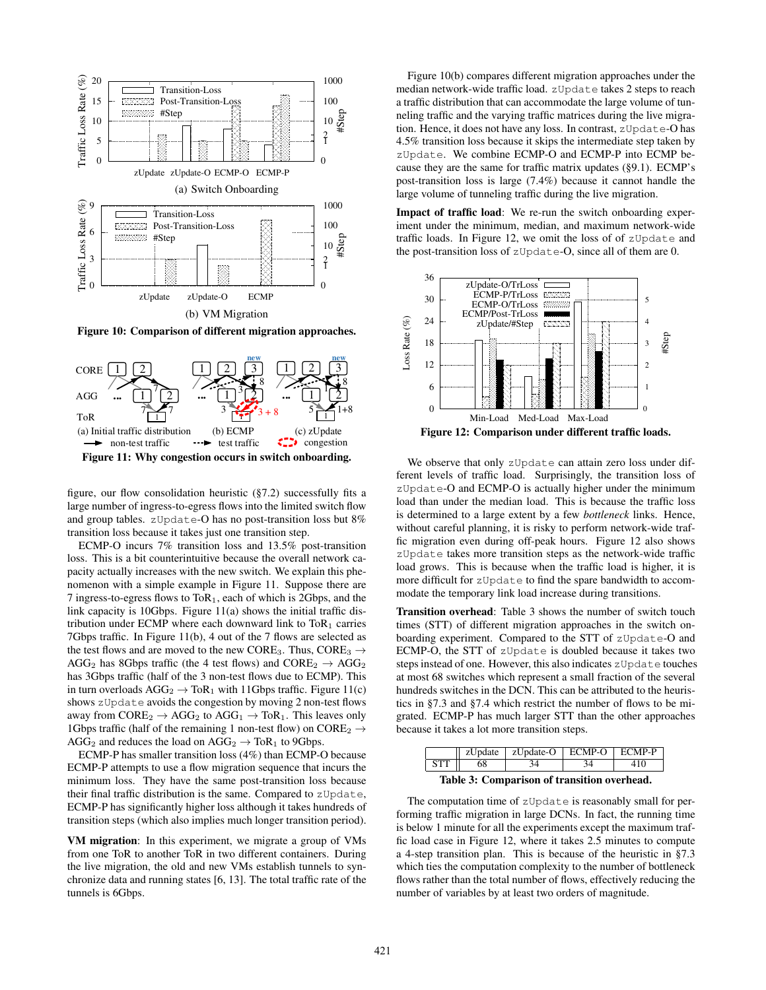

1 (a) Initial traffic distribution 1 (b) ECMP 1 (c) zUpdate ToR  $\longrightarrow$  non-test traffic  $\longrightarrow$  test traffic  $7 - 7$   $3 - 3$   $3 + 8$ 

**Figure 11: Why congestion occurs in switch onboarding.**

figure, our flow consolidation heuristic (§7.2) successfully fits a large number of ingress-to-egress flows into the limited switch flow and group tables. zUpdate-O has no post-transition loss but 8% transition loss because it takes just one transition step.

ECMP-O incurs 7% transition loss and 13.5% post-transition loss. This is a bit counterintuitive because the overall network capacity actually increases with the new switch. We explain this phenomenon with a simple example in Figure 11. Suppose there are 7 ingress-to-egress flows to  $ToR<sub>1</sub>$ , each of which is 2Gbps, and the link capacity is 10Gbps. Figure 11(a) shows the initial traffic distribution under ECMP where each downward link to  $ToR<sub>1</sub>$  carries 7Gbps traffic. In Figure 11(b), 4 out of the 7 flows are selected as the test flows and are moved to the new CORE<sub>3</sub>. Thus, CORE<sub>3</sub>  $\rightarrow$ AGG<sub>2</sub> has 8Gbps traffic (the 4 test flows) and  $\text{CORE}_2 \rightarrow \text{AGG}_2$ has 3Gbps traffic (half of the 3 non-test flows due to ECMP). This in turn overloads  $AGG_2 \rightarrow ToR_1$  with 11Gbps traffic. Figure 11(c) shows zUpdate avoids the congestion by moving 2 non-test flows away from  $\text{CORE}_2 \rightarrow \text{AGG}_2$  to  $\text{AGG}_1 \rightarrow \text{ToR}_1$ . This leaves only 1Gbps traffic (half of the remaining 1 non-test flow) on  $\text{CORE}_2 \rightarrow$ AGG<sub>2</sub> and reduces the load on  $AGG_2 \rightarrow ToR_1$  to 9Gbps.

ECMP-P has smaller transition loss (4%) than ECMP-O because ECMP-P attempts to use a flow migration sequence that incurs the minimum loss. They have the same post-transition loss because their final traffic distribution is the same. Compared to zUpdate, ECMP-P has significantly higher loss although it takes hundreds of transition steps (which also implies much longer transition period).

**VM migration**: In this experiment, we migrate a group of VMs from one ToR to another ToR in two different containers. During the live migration, the old and new VMs establish tunnels to synchronize data and running states [6, 13]. The total traffic rate of the tunnels is 6Gbps.

Figure 10(b) compares different migration approaches under the median network-wide traffic load. zUpdate takes 2 steps to reach a traffic distribution that can accommodate the large volume of tunneling traffic and the varying traffic matrices during the live migration. Hence, it does not have any loss. In contrast, zUpdate-O has 4.5% transition loss because it skips the intermediate step taken by zUpdate. We combine ECMP-O and ECMP-P into ECMP because they are the same for traffic matrix updates (§9.1). ECMP's post-transition loss is large (7.4%) because it cannot handle the large volume of tunneling traffic during the live migration.

**Impact of traffic load**: We re-run the switch onboarding experiment under the minimum, median, and maximum network-wide traffic loads. In Figure 12, we omit the loss of of zUpdate and the post-transition loss of zUpdate-O, since all of them are 0.



We observe that only zUpdate can attain zero loss under different levels of traffic load. Surprisingly, the transition loss of zUpdate-O and ECMP-O is actually higher under the minimum load than under the median load. This is because the traffic loss is determined to a large extent by a few *bottleneck* links. Hence, without careful planning, it is risky to perform network-wide traffic migration even during off-peak hours. Figure 12 also shows zUpdate takes more transition steps as the network-wide traffic load grows. This is because when the traffic load is higher, it is more difficult for zUpdate to find the spare bandwidth to accommodate the temporary link load increase during transitions.

**Transition overhead**: Table 3 shows the number of switch touch times (STT) of different migration approaches in the switch onboarding experiment. Compared to the STT of zUpdate-O and ECMP-O, the STT of zUpdate is doubled because it takes two steps instead of one. However, this also indicates zUpdate touches at most 68 switches which represent a small fraction of the several hundreds switches in the DCN. This can be attributed to the heuristics in §7.3 and §7.4 which restrict the number of flows to be migrated. ECMP-P has much larger STT than the other approaches because it takes a lot more transition steps.

|                                             |    | $\vert$ zUpdate $\vert$ zUpdate-O $\vert$ ECMP-O $\vert$ ECMP-P $\vert$ |    |     |  |
|---------------------------------------------|----|-------------------------------------------------------------------------|----|-----|--|
| <b>STT</b>                                  | 68 | 34                                                                      | 34 | 410 |  |
| Table 3: Comparison of transition overhead. |    |                                                                         |    |     |  |

The computation time of zUpdate is reasonably small for performing traffic migration in large DCNs. In fact, the running time is below 1 minute for all the experiments except the maximum traffic load case in Figure 12, where it takes 2.5 minutes to compute a 4-step transition plan. This is because of the heuristic in §7.3 which ties the computation complexity to the number of bottleneck flows rather than the total number of flows, effectively reducing the number of variables by at least two orders of magnitude.